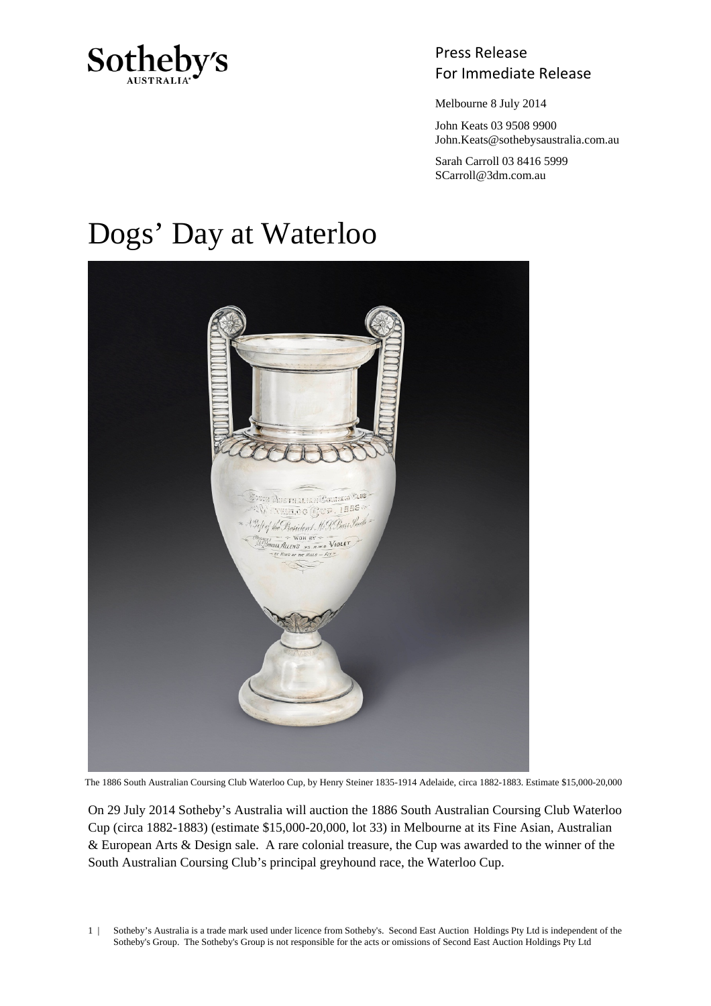

## Press Release Sotheby's<br>For Immediate Release

Melbourne 8 July 2014

 John Keats 03 9508 9900 John.Keats@sothebysaustralia.com.au

 Sarah Carroll 03 8416 5999 SCarroll@3dm.com.au

## Dogs' Day at Waterloo



The 1886 South Australian Coursing Club Waterloo Cup, by Henry Steiner 1835-1914 Adelaide, circa 1882-1883. Estimate \$15,000-20,000

On 29 July 2014 Sotheby's Australia will auction the 1886 South Australian Coursing Club Waterloo Cup (circa 1882-1883) (estimate \$15,000-20,000, lot 33) in Melbourne at its Fine Asian, Australian & European Arts & Design sale. A rare colonial treasure, the Cup was awarded to the winner of the South Australian Coursing Club's principal greyhound race, the Waterloo Cup.

1 | Sotheby's Australia is a trade mark used under licence from Sotheby's. Second East Auction Holdings Pty Ltd is independent of the Sotheby's Group. The Sotheby's Group is not responsible for the acts or omissions of Second East Auction Holdings Pty Ltd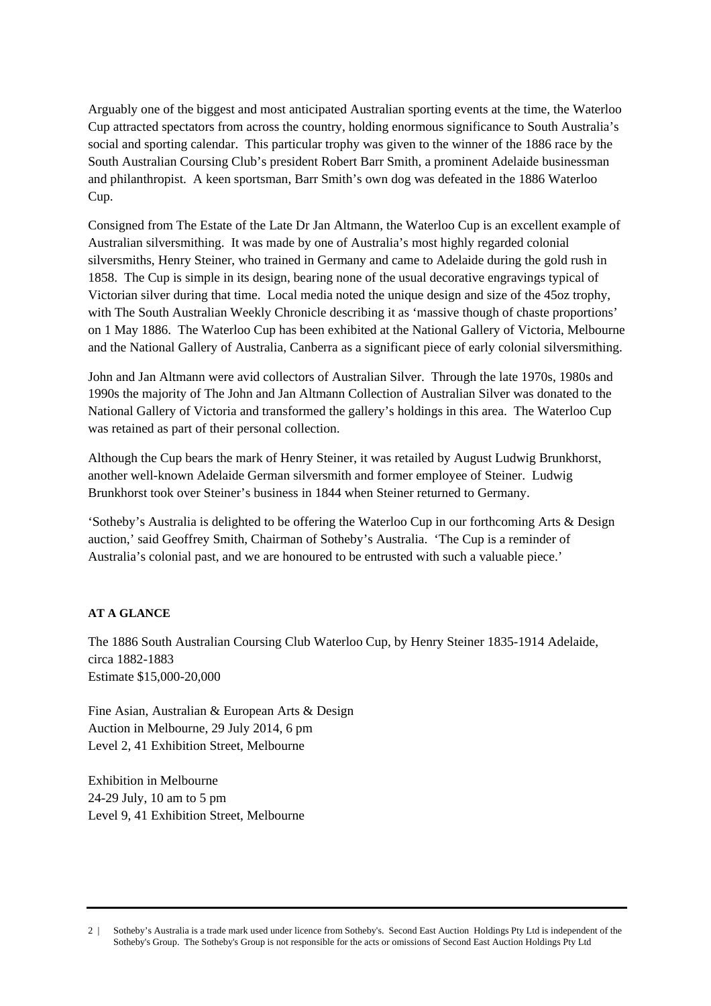Arguably one of the biggest and most anticipated Australian sporting events at the time, the Waterloo Cup attracted spectators from across the country, holding enormous significance to South Australia's social and sporting calendar. This particular trophy was given to the winner of the 1886 race by the South Australian Coursing Club's president Robert Barr Smith, a prominent Adelaide businessman and philanthropist. A keen sportsman, Barr Smith's own dog was defeated in the 1886 Waterloo Cup.

Consigned from The Estate of the Late Dr Jan Altmann, the Waterloo Cup is an excellent example of Australian silversmithing. It was made by one of Australia's most highly regarded colonial silversmiths, Henry Steiner, who trained in Germany and came to Adelaide during the gold rush in 1858. The Cup is simple in its design, bearing none of the usual decorative engravings typical of Victorian silver during that time. Local media noted the unique design and size of the 45oz trophy, with The South Australian Weekly Chronicle describing it as 'massive though of chaste proportions' on 1 May 1886. The Waterloo Cup has been exhibited at the National Gallery of Victoria, Melbourne and the National Gallery of Australia, Canberra as a significant piece of early colonial silversmithing.

John and Jan Altmann were avid collectors of Australian Silver. Through the late 1970s, 1980s and 1990s the majority of The John and Jan Altmann Collection of Australian Silver was donated to the National Gallery of Victoria and transformed the gallery's holdings in this area. The Waterloo Cup was retained as part of their personal collection.

Although the Cup bears the mark of Henry Steiner, it was retailed by August Ludwig Brunkhorst, another well-known Adelaide German silversmith and former employee of Steiner. Ludwig Brunkhorst took over Steiner's business in 1844 when Steiner returned to Germany.

'Sotheby's Australia is delighted to be offering the Waterloo Cup in our forthcoming Arts & Design auction,' said Geoffrey Smith, Chairman of Sotheby's Australia. 'The Cup is a reminder of Australia's colonial past, and we are honoured to be entrusted with such a valuable piece.'

## **AT A GLANCE**

The 1886 South Australian Coursing Club Waterloo Cup, by Henry Steiner 1835-1914 Adelaide, circa 1882-1883 Estimate \$15,000-20,000

Fine Asian, Australian & European Arts & Design Auction in Melbourne, 29 July 2014, 6 pm Level 2, 41 Exhibition Street, Melbourne

Exhibition in Melbourne 24-29 July, 10 am to 5 pm Level 9, 41 Exhibition Street, Melbourne

<sup>2 |</sup> Sotheby's Australia is a trade mark used under licence from Sotheby's. Second East Auction Holdings Pty Ltd is independent of the Sotheby's Group. The Sotheby's Group is not responsible for the acts or omissions of Second East Auction Holdings Pty Ltd